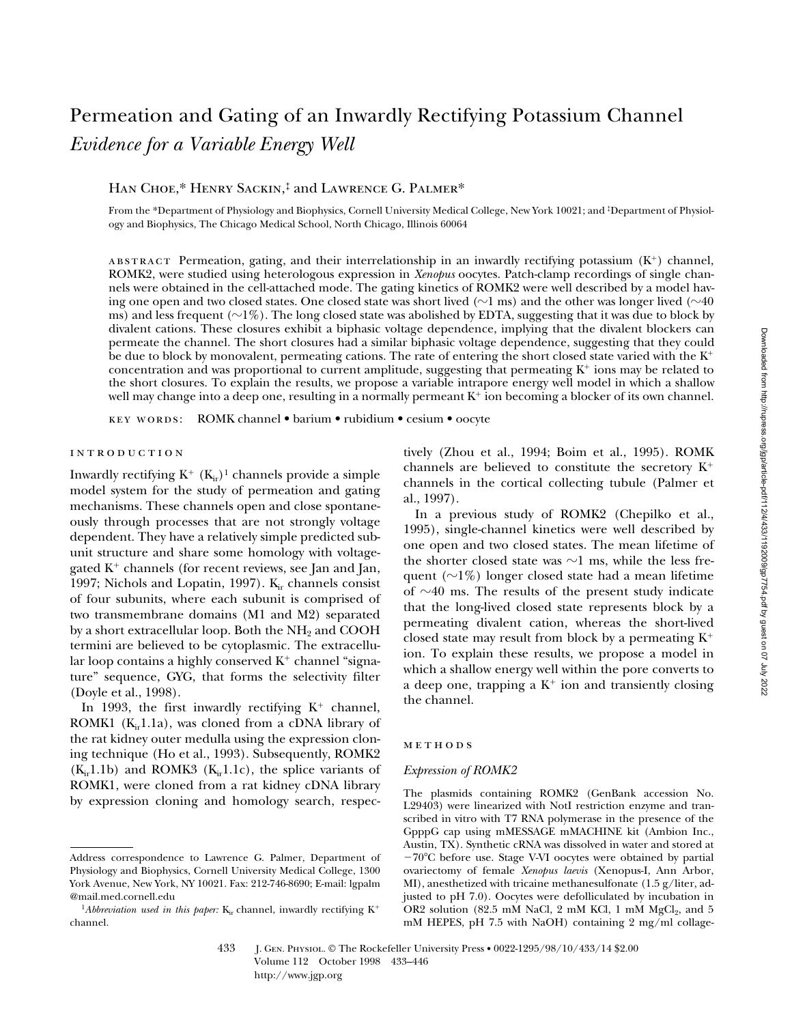# *Evidence for a Variable Energy Well* HAN CHOE,\* HENRY SACKIN,<sup>‡</sup> and LAWRENCE G. PALMER\* From the \*Department of Physiology and Biophysics, Cornell University Medical College, New York 10021; and ‡Department of Physiology and Biophysics, The Chicago Medical School, North Chicago, Illinois 60064

ABSTRACT Permeation, gating, and their interrelationship in an inwardly rectifying potassium  $(K^+)$  channel, ROMK2, were studied using heterologous expression in *Xenopus* oocytes. Patch-clamp recordings of single channels were obtained in the cell-attached mode. The gating kinetics of ROMK2 were well described by a model having one open and two closed states. One closed state was short lived ( $\sim$ 1 ms) and the other was longer lived ( $\sim$ 40 ms) and less frequent ( $\sim$ 1%). The long closed state was abolished by EDTA, suggesting that it was due to block by divalent cations. These closures exhibit a biphasic voltage dependence, implying that the divalent blockers can permeate the channel. The short closures had a similar biphasic voltage dependence, suggesting that they could be due to block by monovalent, permeating cations. The rate of entering the short closed state varied with the  $K^+$ concentration and was proportional to current amplitude, suggesting that permeating  $K^+$  ions may be related to the short closures. To explain the results, we propose a variable intrapore energy well model in which a shallow well may change into a deep one, resulting in a normally permeant K<sup>+</sup> ion becoming a blocker of its own channel.

Permeation and Gating of an Inwardly Rectifying Potassium Channel

key words: ROMK channel • barium • rubidium • cesium • oocyte

# introduction

Inwardly rectifying  $K^+$  ( $K_{ir}$ )<sup>1</sup> channels provide a simple model system for the study of permeation and gating mechanisms. These channels open and close spontaneously through processes that are not strongly voltage dependent. They have a relatively simple predicted subunit structure and share some homology with voltagegated  $K^+$  channels (for recent reviews, see Jan and Jan, 1997; Nichols and Lopatin, 1997).  $K_{ir}$  channels consist of four subunits, where each subunit is comprised of two transmembrane domains (M1 and M2) separated by a short extracellular loop. Both the  $NH<sub>2</sub>$  and COOH termini are believed to be cytoplasmic. The extracellular loop contains a highly conserved  $K^+$  channel "signature" sequence, GYG, that forms the selectivity filter (Doyle et al., 1998).

In 1993, the first inwardly rectifying  $K^+$  channel, ROMK1 ( $K_{ir}1.1a$ ), was cloned from a cDNA library of the rat kidney outer medulla using the expression cloning technique (Ho et al., 1993). Subsequently, ROMK2  $(K_{ir}1.1b)$  and ROMK3  $(K_{ir}1.1c)$ , the splice variants of ROMK1, were cloned from a rat kidney cDNA library by expression cloning and homology search, respectively (Zhou et al., 1994; Boim et al., 1995). ROMK channels are believed to constitute the secretory  $K^+$ channels in the cortical collecting tubule (Palmer et al., 1997).

In a previous study of ROMK2 (Chepilko et al., 1995), single-channel kinetics were well described by one open and two closed states. The mean lifetime of the shorter closed state was  $\sim$ 1 ms, while the less frequent  $(\sim 1\%)$  longer closed state had a mean lifetime of  $\sim$ 40 ms. The results of the present study indicate that the long-lived closed state represents block by a permeating divalent cation, whereas the short-lived closed state may result from block by a permeating  $K^+$ ion. To explain these results, we propose a model in which a shallow energy well within the pore converts to a deep one, trapping a  $K^+$  ion and transiently closing the channel.

## **METHODS**

#### *Expression of ROMK2*

The plasmids containing ROMK2 (GenBank accession No. L29403) were linearized with NotI restriction enzyme and transcribed in vitro with T7 RNA polymerase in the presence of the GpppG cap using mMESSAGE mMACHINE kit (Ambion Inc., Austin, TX). Synthetic cRNA was dissolved in water and stored at  $-70^{\circ}$ C before use. Stage V-VI oocytes were obtained by partial ovariectomy of female *Xenopus laevis* (Xenopus-I, Ann Arbor, MI), anesthetized with tricaine methanesulfonate (1.5 g/liter, adjusted to pH 7.0). Oocytes were defolliculated by incubation in OR2 solution (82.5 mM NaCl, 2 mM KCl, 1 mM  $MgCl<sub>2</sub>$ , and 5 mM HEPES, pH 7.5 with NaOH) containing 2 mg/ml collage-

Address correspondence to Lawrence G. Palmer, Department of Physiology and Biophysics, Cornell University Medical College, 1300 York Avenue, New York, NY 10021. Fax: 212-746-8690; E-mail: lgpalm @mail.med.cornell.edu

<sup>&</sup>lt;sup>1</sup>Abbreviation used in this paper:  $K_{ir}$  channel, inwardly rectifying  $K^+$ channel.

<sup>433</sup> J. Gen. Physiol. © The Rockefeller University Press • 0022-1295/98/10/433/14 \$2.00 Volume 112 October 1998 433–446 http://www.jgp.org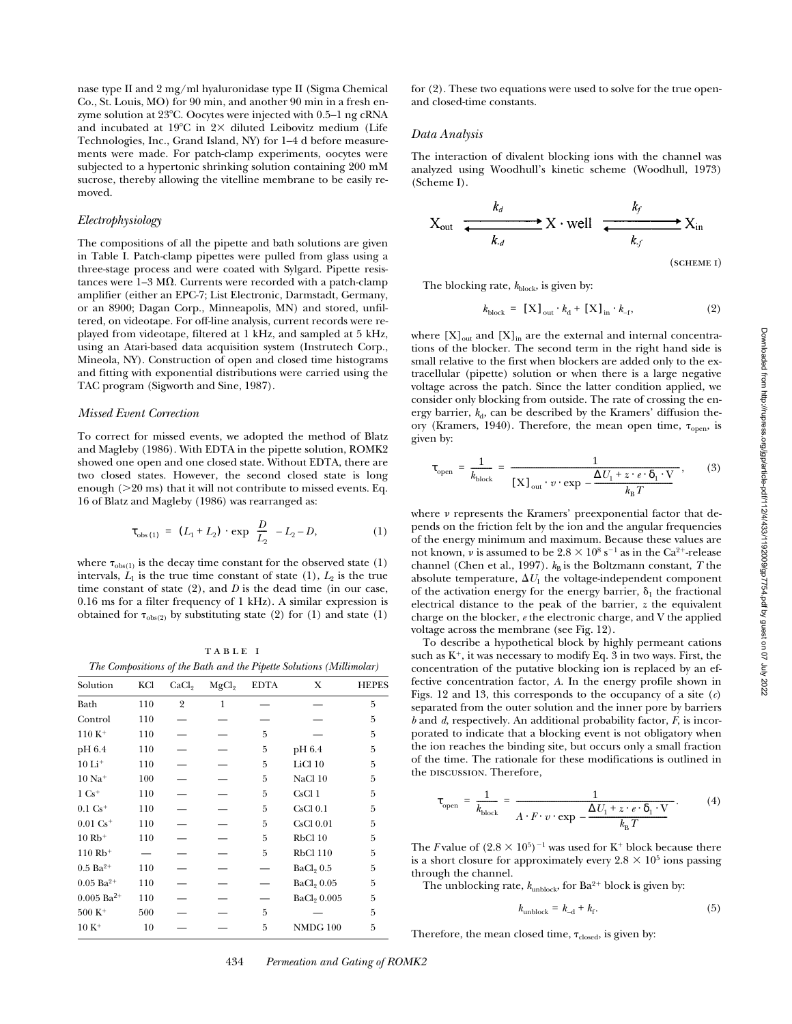nase type II and 2 mg/ml hyaluronidase type II (Sigma Chemical Co., St. Louis, MO) for 90 min, and another 90 min in a fresh enzyme solution at  $23^{\circ}$ C. Oocytes were injected with 0.5–1 ng cRNA and incubated at 19°C in  $2 \times$  diluted Leibovitz medium (Life Technologies, Inc., Grand Island, NY) for 1–4 d before measurements were made. For patch-clamp experiments, oocytes were subjected to a hypertonic shrinking solution containing 200 mM sucrose, thereby allowing the vitelline membrane to be easily removed.

#### *Electrophysiology*

The compositions of all the pipette and bath solutions are given in Table I. Patch-clamp pipettes were pulled from glass using a three-stage process and were coated with Sylgard. Pipette resistances were  $1-3$  M $\Omega$ . Currents were recorded with a patch-clamp amplifier (either an EPC-7; List Electronic, Darmstadt, Germany, or an 8900; Dagan Corp., Minneapolis, MN) and stored, unfiltered, on videotape. For off-line analysis, current records were replayed from videotape, filtered at 1 kHz, and sampled at 5 kHz, using an Atari-based data acquisition system (Instrutech Corp., Mineola, NY). Construction of open and closed time histograms and fitting with exponential distributions were carried using the TAC program (Sigworth and Sine, 1987).

## *Missed Event Correction*

To correct for missed events, we adopted the method of Blatz and Magleby (1986). With EDTA in the pipette solution, ROMK2 showed one open and one closed state. Without EDTA, there are two closed states. However, the second closed state is long enough  $(>20 \text{ ms})$  that it will not contribute to missed events. Eq. 16 of Blatz and Magleby (1986) was rearranged as:

$$
\tau_{obs(1)} = (L_1 + L_2) \cdot \exp\left(\frac{D}{L_2}\right) - L_2 - D,\tag{1}
$$

where  $\tau_{\rm obs(1)}$  is the decay time constant for the observed state (1) intervals,  $L_1$  is the true time constant of state  $(1)$ ,  $L_2$  is the true time constant of state (2), and *D* is the dead time (in our case, 0.16 ms for a filter frequency of 1 kHz). A similar expression is obtained for  $\tau_{obs(2)}$  by substituting state (2) for (1) and state (1)

TABLE I *The Compositions of the Bath and the Pipette Solutions (Millimolar)*

| Solution                 | KCl | CaCl <sub>9</sub> | MgCl <sub>2</sub> | <b>EDTA</b> | X                       | <b>HEPES</b> |
|--------------------------|-----|-------------------|-------------------|-------------|-------------------------|--------------|
| Bath                     | 110 | $\overline{2}$    | 1                 |             |                         | 5            |
| Control                  | 110 |                   |                   |             |                         | 5            |
| $110 K+$                 | 110 |                   |                   | 5           |                         | 5            |
| pH 6.4                   | 110 |                   |                   | 5           | pH 6.4                  | 5            |
| $10 \mathrm{Li}^+$       | 110 |                   |                   | 5           | LiCl 10                 | 5            |
| $10$ Na <sup>+</sup>     | 100 |                   |                   | 5           | NaCl 10                 | 5            |
| $1\text{ Cs}^+$          | 110 |                   |                   | 5           | CsCl <sub>1</sub>       | 5            |
| $0.1 \text{ Cs}^+$       | 110 |                   |                   | 5           | CsCl <sub>0.1</sub>     | 5            |
| $0.01 \text{ Cs}^+$      | 110 |                   |                   | 5           | $CsCl$ $0.01$           | 5            |
| $10 Rb+$                 | 110 |                   |                   | 5           | RbCl 10                 | 5            |
| $110 Rb+$                |     |                   |                   | 5           | <b>RbCl 110</b>         | 5            |
| $0.5 \text{ Ba}^{2+}$    | 110 |                   |                   |             | BaCl <sub>2</sub> 0.5   | 5            |
| $0.05$ Ba <sup>2+</sup>  | 110 |                   |                   |             | BaCl <sub>2</sub> 0.05  | 5            |
| $0.005$ Ba <sup>2+</sup> | 110 |                   |                   |             | BaCl <sub>2</sub> 0.005 | 5            |
| $500 K+$                 | 500 |                   |                   | 5           |                         | 5            |
| $10 K+$                  | 10  |                   |                   | 5           | <b>NMDG 100</b>         | 5            |
|                          |     |                   |                   |             |                         |              |

for (2). These two equations were used to solve for the true openand closed-time constants.

#### *Data Analysis*

The interaction of divalent blocking ions with the channel was analyzed using Woodhull's kinetic scheme (Woodhull, 1973) (Scheme I).

$$
X_{\text{out}} \xrightarrow{k_d} X \cdot \text{well} \xrightarrow{k_f} X_{\text{in}}
$$

(scheme i)

The blocking rate,  $k_{block}$ , is given by:

$$
k_{\text{block}} = [\mathbf{X}]_{\text{out}} \cdot k_{\text{d}} + [\mathbf{X}]_{\text{in}} \cdot k_{\text{-f}},\tag{2}
$$

where  $[X]_{out}$  and  $[X]_{in}$  are the external and internal concentrations of the blocker. The second term in the right hand side is small relative to the first when blockers are added only to the extracellular (pipette) solution or when there is a large negative voltage across the patch. Since the latter condition applied, we consider only blocking from outside. The rate of crossing the energy barrier,  $k_d$ , can be described by the Kramers' diffusion theory (Kramers, 1940). Therefore, the mean open time,  $\tau_{open}$ , is given by:

$$
\tau_{\text{open}} = \frac{1}{k_{\text{block}}} = \frac{1}{[X]_{\text{out}} \cdot v \cdot \exp\left(-\frac{\Delta U_1 + z \cdot e \cdot \delta_1 \cdot V}{k_B T}\right)},\tag{3}
$$

where  $\nu$  represents the Kramers' preexponential factor that depends on the friction felt by the ion and the angular frequencies of the energy minimum and maximum. Because these values are not known,  $\nu$  is assumed to be  $2.8 \times 10^8$  s<sup>-1</sup> as in the Ca<sup>2+</sup>-release channel (Chen et al., 1997).  $k_B$  is the Boltzmann constant, *T* the absolute temperature,  $\Delta U_1$  the voltage-independent component of the activation energy for the energy barrier,  $\delta_1$  the fractional electrical distance to the peak of the barrier, *z* the equivalent charge on the blocker, *e* the electronic charge, and V the applied voltage across the membrane (see Fig. 12).

To describe a hypothetical block by highly permeant cations such as  $K^+$ , it was necessary to modify Eq. 3 in two ways. First, the concentration of the putative blocking ion is replaced by an effective concentration factor, *A*. In the energy profile shown in Figs. 12 and 13, this corresponds to the occupancy of a site (*c*) separated from the outer solution and the inner pore by barriers *b* and *d*, respectively. An additional probability factor, *F*, is incorporated to indicate that a blocking event is not obligatory when the ion reaches the binding site, but occurs only a small fraction of the time. The rationale for these modifications is outlined in the DISCUSSION. Therefore,

$$
\tau_{\text{open}} = \frac{1}{k_{\text{block}}} = \frac{1}{A \cdot F \cdot v \cdot \exp\left(-\frac{\Delta U_1 + z \cdot e \cdot \delta_1 \cdot V}{k_{\text{B}} T}\right)}.
$$
(4)

The *F* value of  $(2.8 \times 10^5)^{-1}$  was used for K<sup>+</sup> block because there is a short closure for approximately every  $2.8 \times 10^5$  ions passing through the channel.

The unblocking rate,  $k_{\text{unblock}}$ , for  $Ba^{2+}$  block is given by:

$$
k_{\text{unblock}} = k_{-\text{d}} + k_{\text{f}}.\tag{5}
$$

Therefore, the mean closed time,  $\tau_{closed}$ , is given by:

434 *Permeation and Gating of ROMK2*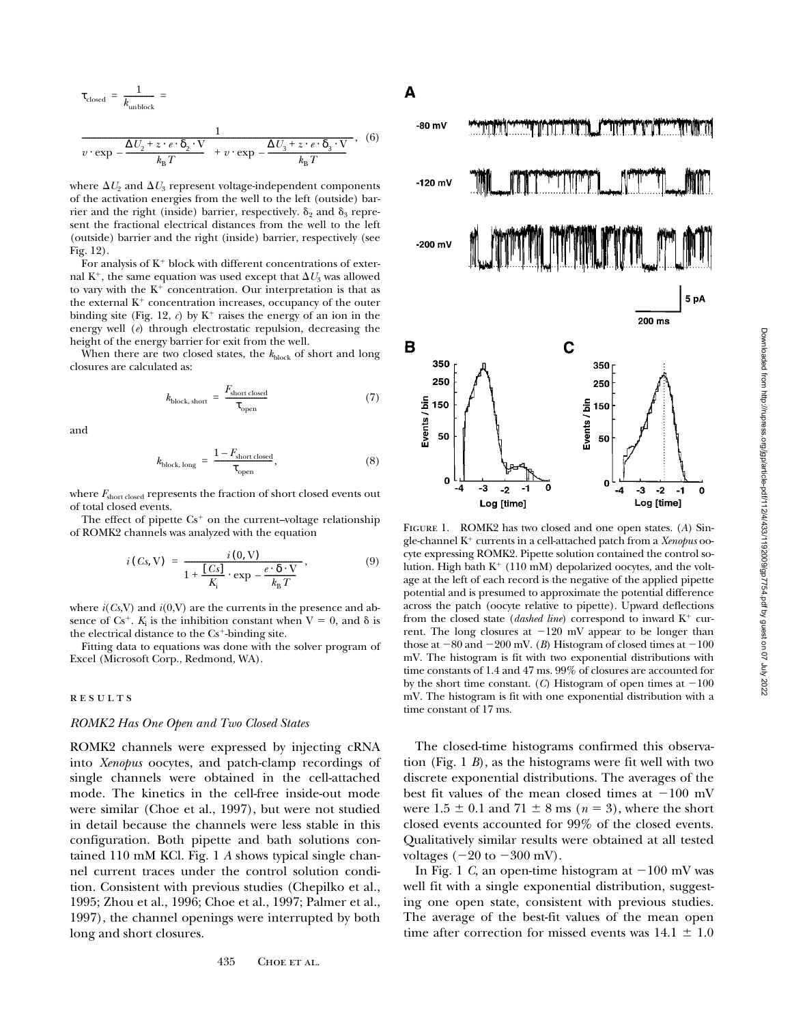$$
\tau_{\text{closed}} = \frac{1}{k_{\text{unblock}}} = \frac{1}{v \cdot \exp\left(-\frac{\Delta U_2 + z \cdot e \cdot \delta_2 \cdot V}{k_B T}\right) + v \cdot \exp\left(-\frac{\Delta U_3 + z \cdot e \cdot \delta_3 \cdot V}{k_B T}\right)}, \quad (6)
$$

where  $\Delta U_2$  and  $\Delta U_3$  represent voltage-independent components of the activation energies from the well to the left (outside) barrier and the right (inside) barrier, respectively.  $\delta_2$  and  $\delta_3$  represent the fractional electrical distances from the well to the left (outside) barrier and the right (inside) barrier, respectively (see Fig. 12).

For analysis of  $K^+$  block with different concentrations of external K<sup>+</sup>, the same equation was used except that  $\Delta U_3$  was allowed to vary with the  $K^+$  concentration. Our interpretation is that as the external  $K^+$  concentration increases, occupancy of the outer binding site (Fig. 12,  $c$ ) by  $K^+$  raises the energy of an ion in the energy well (*e*) through electrostatic repulsion, decreasing the height of the energy barrier for exit from the well.

When there are two closed states, the  $k_{\text{block}}$  of short and long closures are calculated as:

$$
k_{\text{block, short}} = \frac{F_{\text{short closed}}}{\tau_{\text{open}}} \tag{7}
$$

and

$$
k_{\text{block, long}} = \frac{1 - F_{\text{short closed}}}{\tau_{\text{open}}},\tag{8}
$$

where  $F_{\text{short closed}}$  represents the fraction of short closed events out of total closed events.

The effect of pipette  $Cs^+$  on the current–voltage relationship of ROMK2 channels was analyzed with the equation

$$
i(Cs, V) = \frac{i(0, V)}{1 + \frac{[Cs]}{K_i} \cdot \exp\left(-\frac{e \cdot \delta \cdot V}{k_B T}\right)},
$$
\n(9)

where  $i(Cs, V)$  and  $i(0, V)$  are the currents in the presence and absence of  $Cs^+$ .  $K_i$  is the inhibition constant when  $V = 0$ , and  $\delta$  is the electrical distance to the  $Cs^+$ -binding site.

Fitting data to equations was done with the solver program of Excel (Microsoft Corp., Redmond, WA).

#### **RESULTS**

## *ROMK2 Has One Open and Two Closed States*

ROMK2 channels were expressed by injecting cRNA into *Xenopus* oocytes, and patch-clamp recordings of single channels were obtained in the cell-attached mode. The kinetics in the cell-free inside-out mode were similar (Choe et al., 1997), but were not studied in detail because the channels were less stable in this configuration. Both pipette and bath solutions contained 110 mM KCl. Fig. 1 *A* shows typical single channel current traces under the control solution condition. Consistent with previous studies (Chepilko et al., 1995; Zhou et al., 1996; Choe et al., 1997; Palmer et al., 1997), the channel openings were interrupted by both long and short closures.



Figure 1. ROMK2 has two closed and one open states. (*A*) Single-channel K1 currents in a cell-attached patch from a *Xenopus* oocyte expressing ROMK2. Pipette solution contained the control solution. High bath  $K^+$  (110 mM) depolarized oocytes, and the voltage at the left of each record is the negative of the applied pipette potential and is presumed to approximate the potential difference across the patch (oocyte relative to pipette). Upward deflections from the closed state (*dashed line*) correspond to inward K<sup>+</sup> current. The long closures at  $-120$  mV appear to be longer than those at  $-80$  and  $-200$  mV. (*B*) Histogram of closed times at  $-100$ mV. The histogram is fit with two exponential distributions with time constants of 1.4 and 47 ms. 99% of closures are accounted for by the short time constant. (*C*) Histogram of open times at  $-100$ mV. The histogram is fit with one exponential distribution with a time constant of 17 ms.

The closed-time histograms confirmed this observation (Fig. 1 *B*), as the histograms were fit well with two discrete exponential distributions. The averages of the best fit values of the mean closed times at  $-100$  mV were  $1.5 \pm 0.1$  and  $71 \pm 8$  ms ( $n = 3$ ), where the short closed events accounted for 99% of the closed events. Qualitatively similar results were obtained at all tested voltages  $(-20 \text{ to } -300 \text{ mV})$ .

In Fig. 1 *C*, an open-time histogram at  $-100$  mV was well fit with a single exponential distribution, suggesting one open state, consistent with previous studies. The average of the best-fit values of the mean open time after correction for missed events was  $14.1 \pm 1.0$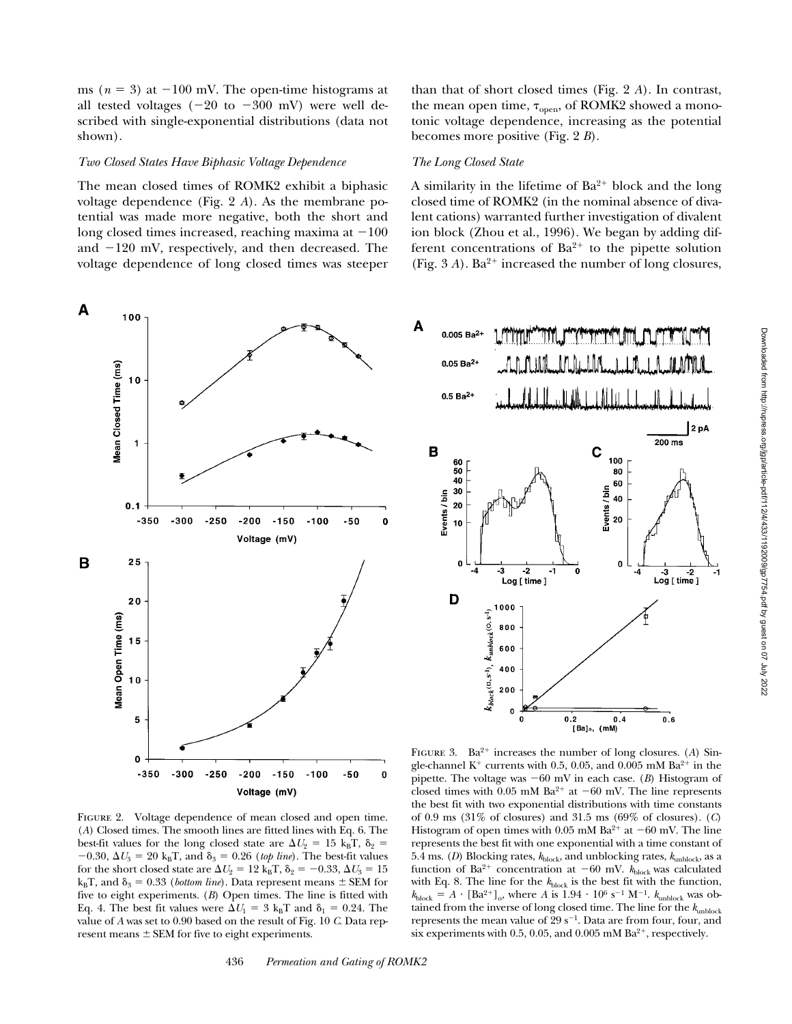ms ( $n = 3$ ) at  $-100$  mV. The open-time histograms at all tested voltages  $(-20 \text{ to } -300 \text{ mV})$  were well described with single-exponential distributions (data not shown).

## *Two Closed States Have Biphasic Voltage Dependence*

The mean closed times of ROMK2 exhibit a biphasic voltage dependence (Fig. 2 *A*). As the membrane potential was made more negative, both the short and long closed times increased, reaching maxima at  $-100$ and  $-120$  mV, respectively, and then decreased. The voltage dependence of long closed times was steeper than that of short closed times (Fig. 2 *A*). In contrast, the mean open time,  $\tau_{\text{open}}$ , of ROMK2 showed a monotonic voltage dependence, increasing as the potential becomes more positive (Fig. 2 *B*).

## *The Long Closed State*

A similarity in the lifetime of  $Ba^{2+}$  block and the long closed time of ROMK2 (in the nominal absence of divalent cations) warranted further investigation of divalent ion block (Zhou et al., 1996). We began by adding different concentrations of  $Ba^{2+}$  to the pipette solution (Fig.  $3 A$ ). Ba<sup>2+</sup> increased the number of long closures,



FIGURE 2. Voltage dependence of mean closed and open time. (*A*) Closed times. The smooth lines are fitted lines with Eq. 6. The best-fit values for the long closed state are  $\Delta U_2 = 15 \text{ kgT}, \delta_2 =$  $-0.30$ ,  $\Delta U_3 = 20 \text{ k}_{\text{B}}$ T, and  $\delta_3 = 0.26$  (*top line*). The best-fit values for the short closed state are  $\Delta U_2 = 12 \text{ k}_{\text{B}} \text{T}$ ,  $\delta_2 = -0.33$ ,  $\Delta U_3 = 15$  $k_{\text{B}}$ T, and  $\delta_3 = 0.33$  (*bottom line*). Data represent means  $\pm$  SEM for five to eight experiments. (*B*) Open times. The line is fitted with Eq. 4. The best fit values were  $\Delta U_1 = 3 \text{ k}_{\text{B}}$ T and  $\delta_1 = 0.24$ . The value of *A* was set to 0.90 based on the result of Fig. 10 *C*. Data represent means  $\pm$  SEM for five to eight experiments.



FIGURE 3.  $Ba^{2+}$  increases the number of long closures. (A) Single-channel K<sup>+</sup> currents with 0.5, 0.05, and 0.005 mM  $Ba^{2+}$  in the pipette. The voltage was  $-60$  mV in each case. (*B*) Histogram of closed times with 0.05 mM Ba<sup>2+</sup> at  $-60$  mV. The line represents the best fit with two exponential distributions with time constants of 0.9 ms (31% of closures) and 31.5 ms (69% of closures). (*C*) Histogram of open times with 0.05 mM Ba<sup>2+</sup> at  $-60$  mV. The line represents the best fit with one exponential with a time constant of 5.4 ms. (*D*) Blocking rates,  $k_{block}$ , and unblocking rates,  $k_{unblock}$ , as a function of Ba<sup>2+</sup> concentration at  $-60$  mV.  $k_{block}$  was calculated with Eq. 8. The line for the  $k_{block}$  is the best fit with the function,  $k_{block} = A \cdot [Ba^{2+}]_{\text{o}}$ , where *A* is  $1.94 \cdot 10^6$  s<sup>-1</sup> M<sup>-1</sup>.  $k_{unblock}$  was obtained from the inverse of long closed time. The line for the  $k_{\text{unblock}}$ represents the mean value of  $29 s^{-1}$ . Data are from four, four, and six experiments with 0.5, 0.05, and 0.005 mM Ba<sup>2+</sup>, respectively.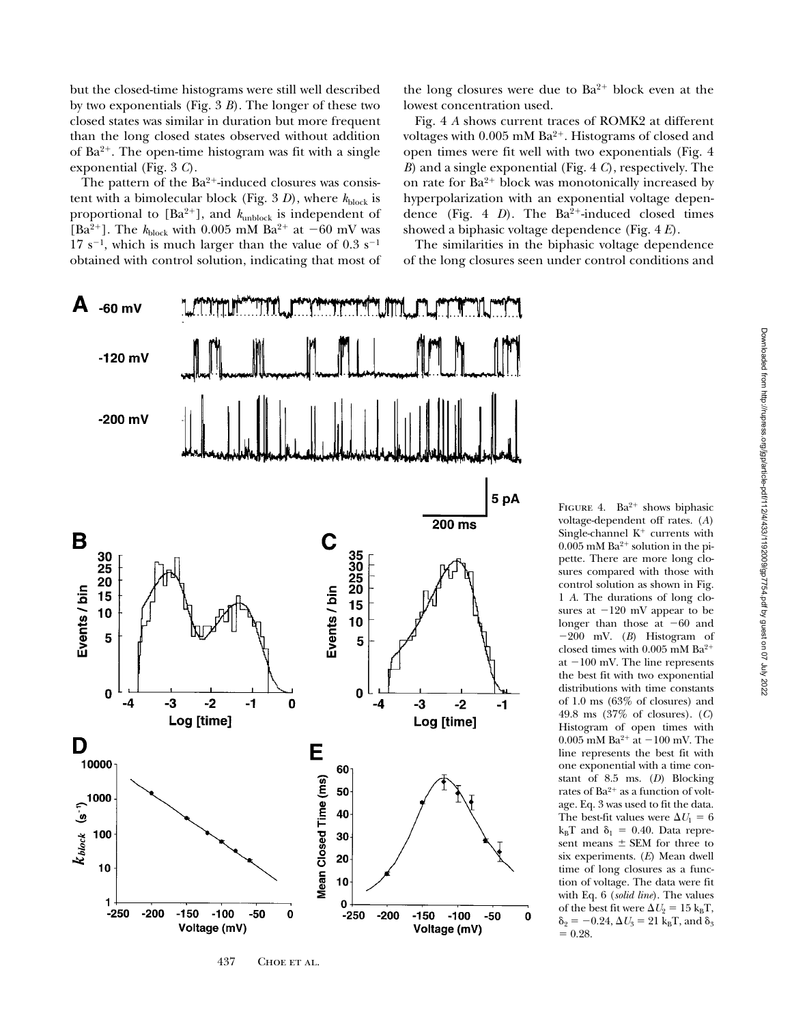but the closed-time histograms were still well described by two exponentials (Fig. 3 *B*). The longer of these two closed states was similar in duration but more frequent than the long closed states observed without addition of  $Ba^{2+}$ . The open-time histogram was fit with a single exponential (Fig. 3 *C*).

The pattern of the  $Ba^{2+}$ -induced closures was consistent with a bimolecular block (Fig. 3 *D*), where  $k_{\text{block}}$  is proportional to [Ba<sup>2+</sup>], and  $k_{\text{unblock}}$  is independent of [Ba<sup>2+</sup>]. The  $k_{block}$  with 0.005 mM Ba<sup>2+</sup> at -60 mV was  $17 s^{-1}$ , which is much larger than the value of 0.3 s<sup>-1</sup> obtained with control solution, indicating that most of



437 CHOE ET AL.

the long closures were due to  $Ba^{2+}$  block even at the lowest concentration used.

Fig. 4 *A* shows current traces of ROMK2 at different voltages with  $0.005$  mM Ba<sup>2+</sup>. Histograms of closed and open times were fit well with two exponentials (Fig. 4 *B*) and a single exponential (Fig. 4 *C*), respectively. The on rate for  $Ba^{2+}$  block was monotonically increased by hyperpolarization with an exponential voltage dependence (Fig. 4  $D$ ). The Ba<sup>2+</sup>-induced closed times showed a biphasic voltage dependence (Fig. 4 *E*).

The similarities in the biphasic voltage dependence of the long closures seen under control conditions and

> FIGURE 4. Ba<sup>2+</sup> shows biphasic voltage-dependent off rates. (*A*) Single-channel  $K^+$  currents with  $0.005$  mM Ba<sup>2+</sup> solution in the pipette. There are more long closures compared with those with control solution as shown in Fig. 1 *A*. The durations of long closures at  $-120$  mV appear to be longer than those at  $-60$  and  $-200$  mV. (*B*) Histogram of closed times with  $0.005$  mM  $Ba^{2+}$ at  $-100$  mV. The line represents the best fit with two exponential distributions with time constants of 1.0 ms (63% of closures) and 49.8 ms (37% of closures). (*C*) Histogram of open times with 0.005 mM Ba<sup>2+</sup> at  $-100$  mV. The line represents the best fit with one exponential with a time constant of 8.5 ms. (*D*) Blocking rates of  $Ba^{2+}$  as a function of voltage. Eq. 3 was used to fit the data. The best-fit values were  $\Delta U_1 = 6$  $k_BT$  and  $\delta_1 = 0.40$ . Data represent means  $\pm$  SEM for three to six experiments. (*E*) Mean dwell time of long closures as a function of voltage. The data were fit with Eq. 6 (*solid line*). The values of the best fit were  $\Delta U_2 = 15 \text{ k}_{\text{B}}\text{T}$ ,  $\delta_2 = -0.24, \Delta U_3 = 21 \text{ kgT}$ , and  $\delta_3$  $= 0.28.$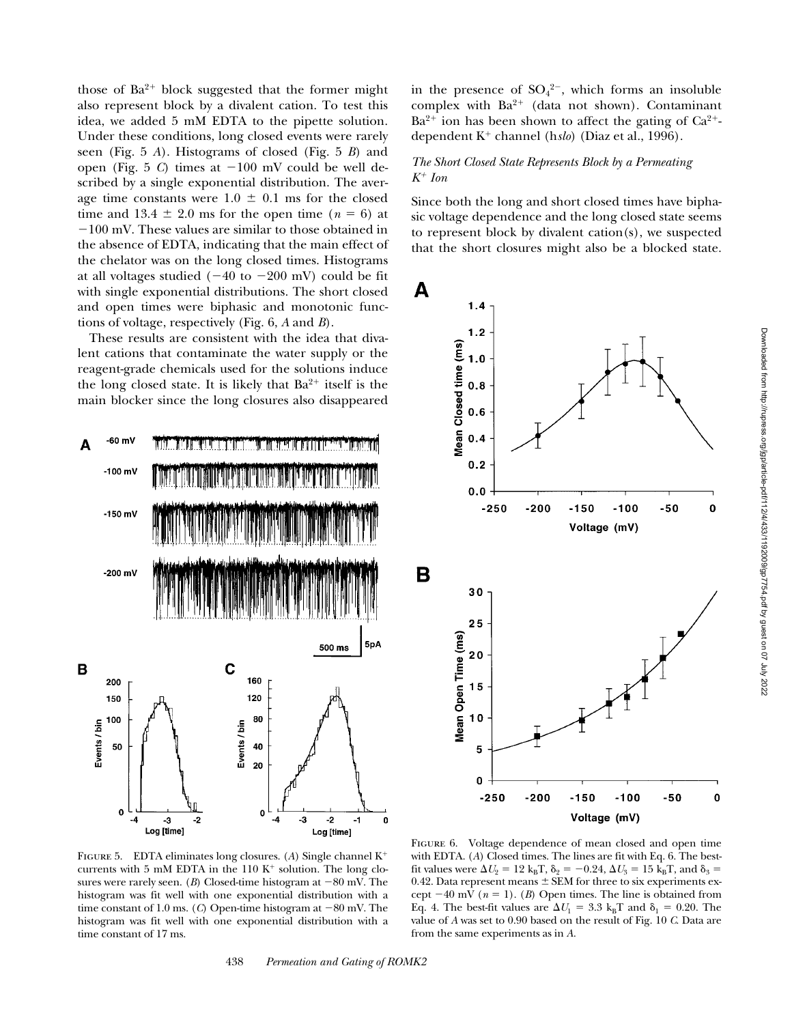those of  $Ba^{2+}$  block suggested that the former might also represent block by a divalent cation. To test this idea, we added 5 mM EDTA to the pipette solution. Under these conditions, long closed events were rarely seen (Fig. 5 *A*). Histograms of closed (Fig. 5 *B*) and open (Fig. 5  $C$ ) times at  $-100$  mV could be well described by a single exponential distribution. The average time constants were  $1.0 \pm 0.1$  ms for the closed time and 13.4  $\pm$  2.0 ms for the open time ( $n = 6$ ) at  $-100$  mV. These values are similar to those obtained in the absence of EDTA, indicating that the main effect of the chelator was on the long closed times. Histograms at all voltages studied  $(-40 \text{ to } -200 \text{ mV})$  could be fit with single exponential distributions. The short closed and open times were biphasic and monotonic functions of voltage, respectively (Fig. 6, *A* and *B*).

These results are consistent with the idea that divalent cations that contaminate the water supply or the reagent-grade chemicals used for the solutions induce the long closed state. It is likely that  $Ba^{2+}$  itself is the main blocker since the long closures also disappeared



in the presence of  $SO_4^{2-}$ , which forms an insoluble complex with  $Ba^{2+}$  (data not shown). Contaminant  $Ba^{2+}$  ion has been shown to affect the gating of  $Ca^{2+}$ dependent K<sup>+</sup> channel (h*slo*) (Diaz et al., 1996).

# *The Short Closed State Represents Block by a Permeating K*1 *Ion*

Since both the long and short closed times have biphasic voltage dependence and the long closed state seems to represent block by divalent cation(s), we suspected that the short closures might also be a blocked state.



FIGURE 5. EDTA eliminates long closures. (A) Single channel K<sup>+</sup> currents with 5 mM EDTA in the  $110 K<sup>+</sup>$  solution. The long closures were rarely seen. (*B*) Closed-time histogram at  $-80$  mV. The histogram was fit well with one exponential distribution with a time constant of 1.0 ms. (*C*) Open-time histogram at  $-80$  mV. The histogram was fit well with one exponential distribution with a time constant of 17 ms.

Figure 6. Voltage dependence of mean closed and open time with EDTA. (*A*) Closed times. The lines are fit with Eq. 6. The bestfit values were  $\Delta U_2 = 12 \text{ k}_B \text{T}$ ,  $\delta_2 = -0.24$ ,  $\Delta U_3 = 15 \text{ k}_B \text{T}$ , and  $\delta_3 =$ 0.42. Data represent means  $\pm$  SEM for three to six experiments except  $-40$  mV ( $n = 1$ ). (*B*) Open times. The line is obtained from Eq. 4. The best-fit values are  $\Delta U_1 = 3.3 \text{ k}_B \text{T}$  and  $\delta_1 = 0.20$ . The value of *A* was set to 0.90 based on the result of Fig. 10 *C*. Data are from the same experiments as in *A*.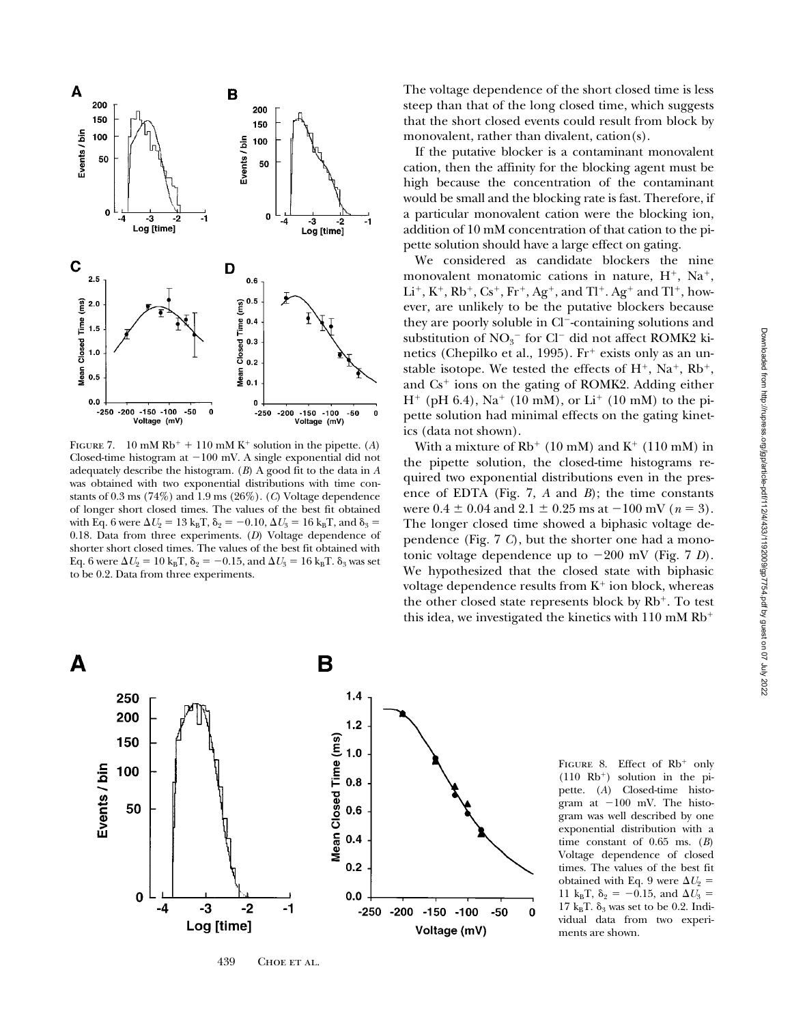

FIGURE 7. 10 mM  $Rb^+$  + 110 mM K<sup>+</sup> solution in the pipette. (*A*) Closed-time histogram at  $-100$  mV. A single exponential did not adequately describe the histogram. (*B*) A good fit to the data in *A* was obtained with two exponential distributions with time constants of 0.3 ms (74%) and 1.9 ms (26%). (*C*) Voltage dependence of longer short closed times. The values of the best fit obtained with Eq. 6 were  $\Delta U_2 = 13 \text{ k}_{\text{B}} \text{T}$ ,  $\delta_2 = -0.10$ ,  $\Delta U_3 = 16 \text{ k}_{\text{B}} \text{T}$ , and  $\delta_3 =$ 0.18. Data from three experiments. (*D*) Voltage dependence of shorter short closed times. The values of the best fit obtained with Eq. 6 were  $\Delta U_2 = 10 \text{ k}_B \text{T}$ ,  $\delta_2 = -0.15$ , and  $\Delta U_3 = 16 \text{ k}_B \text{T}$ .  $\delta_3$  was set to be 0.2. Data from three experiments.

The voltage dependence of the short closed time is less steep than that of the long closed time, which suggests that the short closed events could result from block by monovalent, rather than divalent, cation(s).

If the putative blocker is a contaminant monovalent cation, then the affinity for the blocking agent must be high because the concentration of the contaminant would be small and the blocking rate is fast. Therefore, if a particular monovalent cation were the blocking ion, addition of 10 mM concentration of that cation to the pipette solution should have a large effect on gating.

We considered as candidate blockers the nine monovalent monatomic cations in nature,  $H^+$ , Na<sup>+</sup>,  $Li^+, K^+, Rb^+, Cs^+, Fr^+, Ag^+, and Tl^+. Ag^+ and Tl^+, how$ ever, are unlikely to be the putative blockers because they are poorly soluble in Cl<sup>-</sup>-containing solutions and substitution of  $NO<sub>3</sub><sup>-</sup>$  for Cl<sup>-</sup> did not affect ROMK2 kinetics (Chepilko et al., 1995).  $Fr^+$  exists only as an unstable isotope. We tested the effects of  $H^+$ , Na<sup>+</sup>, Rb<sup>+</sup>, and  $Cs<sup>+</sup>$  ions on the gating of ROMK2. Adding either  $H^+$  (pH 6.4), Na<sup>+</sup> (10 mM), or Li<sup>+</sup> (10 mM) to the pipette solution had minimal effects on the gating kinetics (data not shown).

With a mixture of  $Rb$ <sup>+</sup> (10 mM) and K<sup>+</sup> (110 mM) in the pipette solution, the closed-time histograms required two exponential distributions even in the presence of EDTA (Fig. 7, *A* and *B*); the time constants were  $0.4 \pm 0.04$  and  $2.1 \pm 0.25$  ms at  $-100$  mV ( $n = 3$ ). The longer closed time showed a biphasic voltage dependence (Fig. 7 *C*), but the shorter one had a monotonic voltage dependence up to  $-200$  mV (Fig. 7 *D*). We hypothesized that the closed state with biphasic voltage dependence results from  $K^+$  ion block, whereas the other closed state represents block by  $Rb^+$ . To test this idea, we investigated the kinetics with  $110 \text{ mM}$  Rb<sup>+</sup>



FIGURE 8. Effect of  $Rb^+$  only  $(110$  Rb<sup>+</sup>) solution in the pipette. (*A*) Closed-time histogram at  $-100$  mV. The histogram was well described by one exponential distribution with a time constant of 0.65 ms. (*B*) Voltage dependence of closed times. The values of the best fit obtained with Eq. 9 were  $\Delta U_2$  = 11 k<sub>B</sub>T,  $\delta_2 = -0.15$ , and  $\Delta U_3 =$ 17  $k_BT$ .  $\delta_3$  was set to be 0.2. Individual data from two experiments are shown.

439 CHOE ET AL.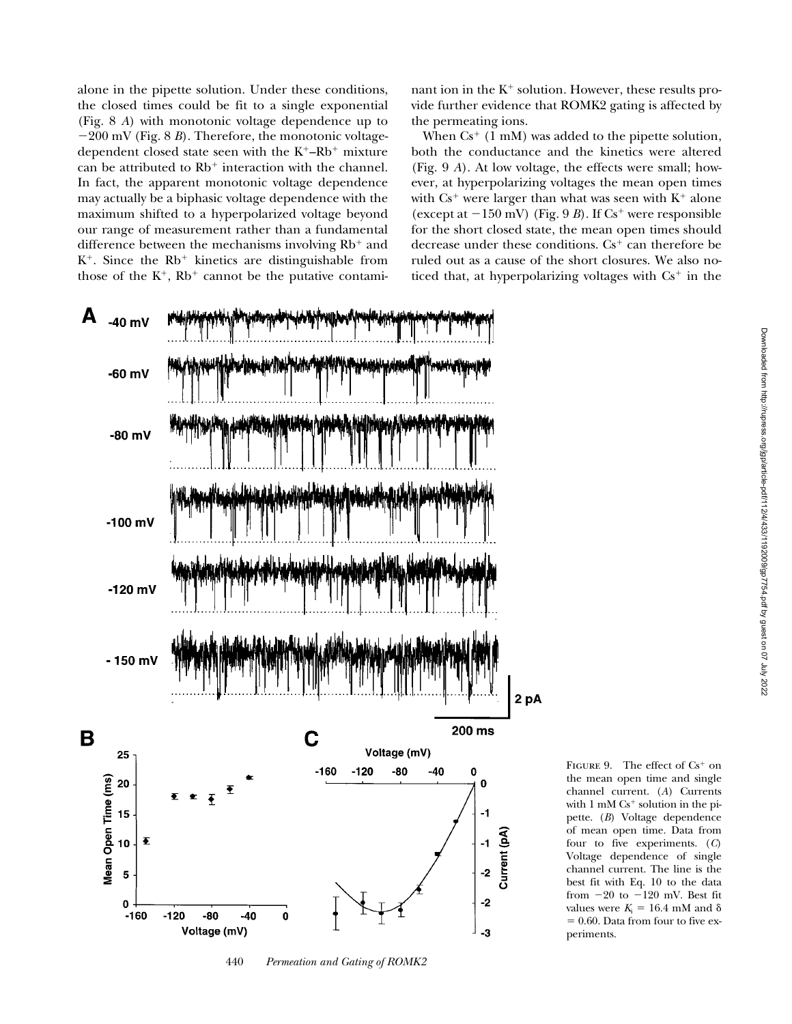alone in the pipette solution. Under these conditions, the closed times could be fit to a single exponential (Fig. 8 *A*) with monotonic voltage dependence up to  $-200$  mV (Fig. 8 *B*). Therefore, the monotonic voltagedependent closed state seen with the  $K^+$ –Rb<sup>+</sup> mixture can be attributed to  $Rb<sup>+</sup>$  interaction with the channel. In fact, the apparent monotonic voltage dependence may actually be a biphasic voltage dependence with the maximum shifted to a hyperpolarized voltage beyond our range of measurement rather than a fundamental difference between the mechanisms involving  $Rb^+$  and  $K^+$ . Since the  $Rb^+$  kinetics are distinguishable from those of the  $K^+$ ,  $Rb^+$  cannot be the putative contaminant ion in the  $K^+$  solution. However, these results provide further evidence that ROMK2 gating is affected by the permeating ions.

When  $Cs^+$  (1 mM) was added to the pipette solution, both the conductance and the kinetics were altered (Fig. 9 *A*). At low voltage, the effects were small; however, at hyperpolarizing voltages the mean open times with  $Cs^+$  were larger than what was seen with  $K^+$  alone (except at  $-150$  mV) (Fig. 9 *B*). If Cs<sup>+</sup> were responsible for the short closed state, the mean open times should decrease under these conditions.  $Cs<sup>+</sup>$  can therefore be ruled out as a cause of the short closures. We also noticed that, at hyperpolarizing voltages with  $Cs^+$  in the



440 *Permeation and Gating of ROMK2*

FIGURE 9. The effect of  $Cs^+$  on the mean open time and single channel current. (*A*) Currents with  $1 \text{ mM } Cs^+$  solution in the pipette. (*B*) Voltage dependence of mean open time. Data from four to five experiments. (*C*) Voltage dependence of single channel current. The line is the best fit with Eq. 10 to the data from  $-20$  to  $-120$  mV. Best fit values were  $K_i = 16.4$  mM and  $\delta$  $= 0.60$ . Data from four to five experiments.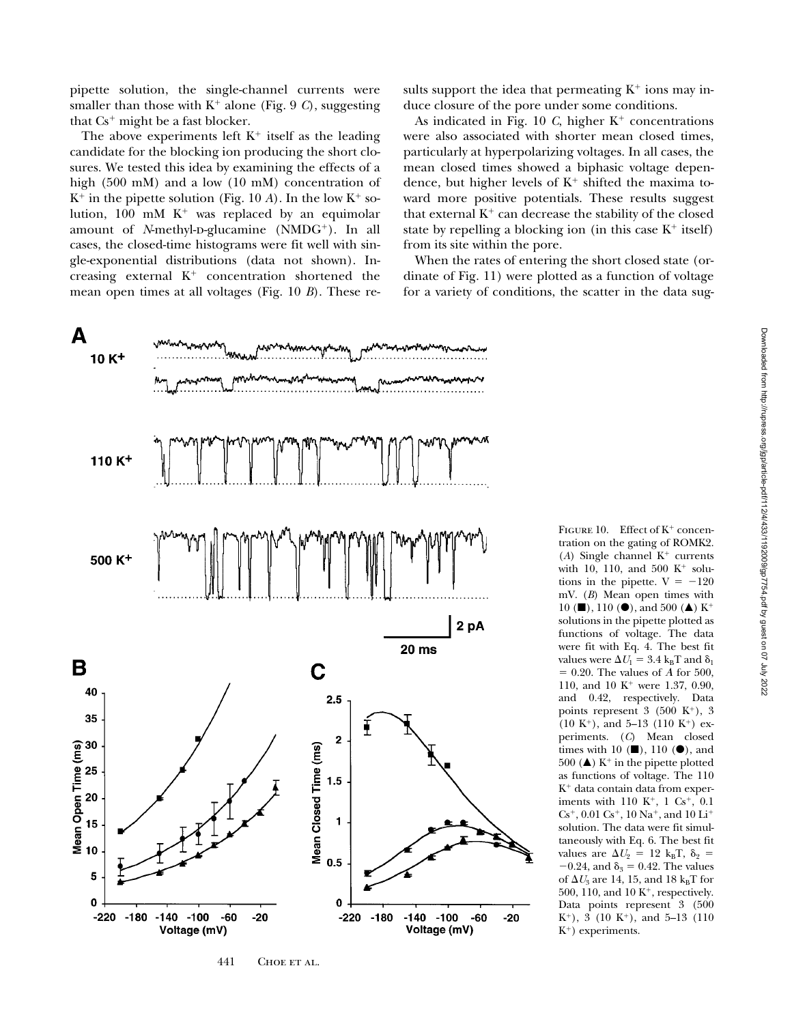pipette solution, the single-channel currents were smaller than those with  $K^+$  alone (Fig. 9 *C*), suggesting that  $Cs^+$  might be a fast blocker.

The above experiments left  $K^+$  itself as the leading candidate for the blocking ion producing the short closures. We tested this idea by examining the effects of a high (500 mM) and a low (10 mM) concentration of  $K^+$  in the pipette solution (Fig. 10 *A*). In the low  $K^+$  solution, 100 mM  $K^+$  was replaced by an equimolar amount of *N*-methyl-p-glucamine (NMDG<sup>+</sup>). In all cases, the closed-time histograms were fit well with single-exponential distributions (data not shown). Increasing external  $K^+$  concentration shortened the mean open times at all voltages (Fig. 10 *B*). These re-

A  $10 K<sup>+</sup>$ 110 K<sup>+</sup> 500 K<sup>+</sup> 2 pA  $20<sub>ms</sub>$ B C 40  $2.5$ 35  $\overline{\mathbf{c}}$ Mean Closed Time (ms)  $1.5$ 1  $0.5$ 5  $\mathbf 0$  $\mathbf 0$  $-220 -180 -140 -100$  $-60$  $-20$  $-220$  $-180$  $-140 - 100$  $-60$  $-20$ Voltage (mV) Voltage (mV)

441 CHOE ET AL.

sults support the idea that permeating  $K^+$  ions may induce closure of the pore under some conditions.

As indicated in Fig. 10  $C$ , higher  $K^+$  concentrations were also associated with shorter mean closed times, particularly at hyperpolarizing voltages. In all cases, the mean closed times showed a biphasic voltage dependence, but higher levels of  $K^+$  shifted the maxima toward more positive potentials. These results suggest that external  $K^+$  can decrease the stability of the closed state by repelling a blocking ion (in this case  $K^+$  itself) from its site within the pore.

When the rates of entering the short closed state (ordinate of Fig. 11) were plotted as a function of voltage for a variety of conditions, the scatter in the data sug-

> FIGURE 10. Effect of  $K^+$  concentration on the gating of ROMK2. ( $A$ ) Single channel  $K^+$  currents with 10, 110, and 500  $K^+$  solutions in the pipette.  $V = -120$ mV. (*B*) Mean open times with 10 ( $\blacksquare$ ), 110 ( $\spadesuit$ ), and 500 ( $\spadesuit$ ) K<sup>+</sup> solutions in the pipette plotted as functions of voltage. The data were fit with Eq. 4. The best fit values were  $\Delta U_1 = 3.4 \text{ k}_{\text{B}} \text{T}$  and  $\delta_1$  $= 0.20$ . The values of A for 500, 110, and 10 K<sup>+</sup> were 1.37, 0.90, and 0.42, respectively. Data points represent  $3$  (500 K<sup>+</sup>), 3  $(10 K<sup>+</sup>)$ , and 5–13  $(110 K<sup>+</sup>)$  experiments. (*C*) Mean closed times with 10  $(\blacksquare)$ , 110  $(\blacksquare)$ , and 500 ( $\blacktriangle$ ) K<sup>+</sup> in the pipette plotted as functions of voltage. The 110  $K^+$  data contain data from experiments with  $110 K^{+}$ ,  $1 Cs^{+}$ ,  $0.1$  $Cs^+$ , 0.01  $Cs^+$ , 10  $Na^+$ , and 10  $Li^+$ solution. The data were fit simultaneously with Eq. 6. The best fit values are  $\Delta U_2 = 12 \text{ k}_B \text{T}, \delta_2 =$  $-0.24$ , and  $\delta_3 = 0.42$ . The values of  $\Delta U_3$  are 14, 15, and 18 k<sub>B</sub>T for 500, 110, and 10  $K^+$ , respectively. Data points represent 3 (500  $K^+$ ), 3 (10  $K^+$ ), and 5-13 (110  $K^+$ ) experiments.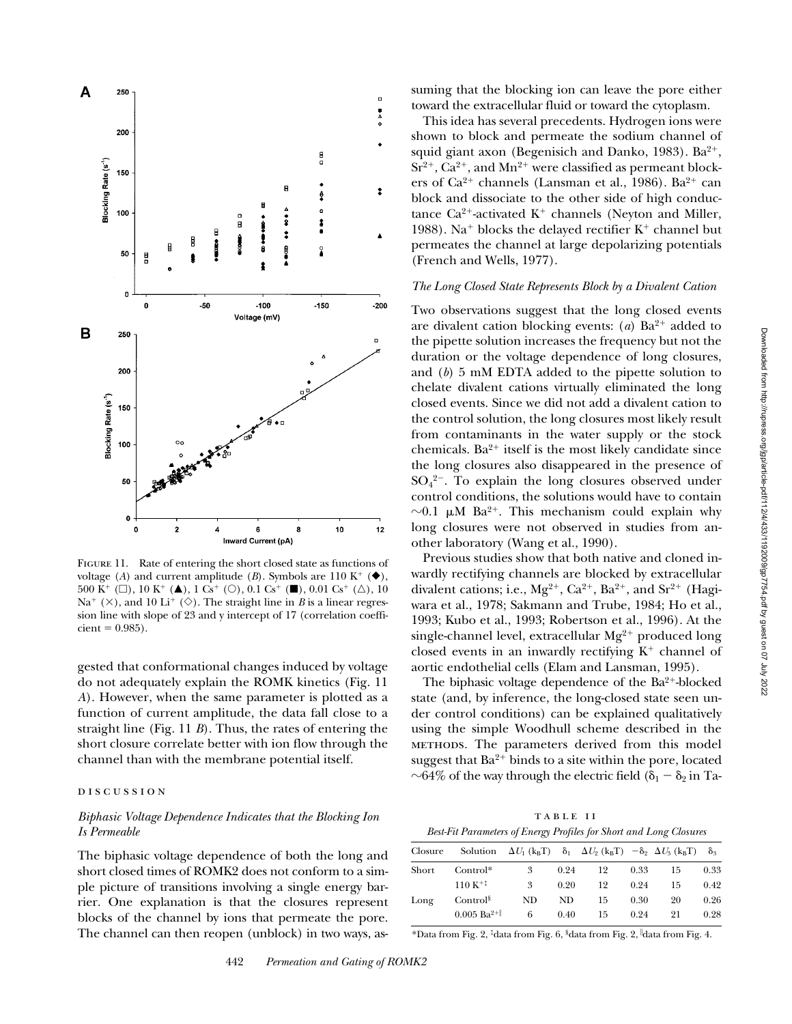

FIGURE 11. Rate of entering the short closed state as functions of voltage (*A*) and current amplitude (*B*). Symbols are 110 K<sup>+</sup> ( $\blacklozenge$ ), 500 K<sup>+</sup> ( $\square$ ), 10 K<sup>+</sup> ( $\blacktriangle$ ), 1 Cs<sup>+</sup> ( $\square$ ), 0.1 Cs<sup>+</sup> ( $\square$ ), 0.01 Cs<sup>+</sup> ( $\triangle$ ), 10 Na<sup>+</sup> ( $\times$ ), and 10 Li<sup>+</sup> ( $\diamond$ ). The straight line in *B* is a linear regression line with slope of 23 and y intercept of 17 (correlation coeffi $cient = 0.985$ .

gested that conformational changes induced by voltage do not adequately explain the ROMK kinetics (Fig. 11 *A*). However, when the same parameter is plotted as a function of current amplitude, the data fall close to a straight line (Fig. 11 *B*). Thus, the rates of entering the short closure correlate better with ion flow through the channel than with the membrane potential itself.

## DISCUSSION

# *Biphasic Voltage Dependence Indicates that the Blocking Ion Is Permeable*

The biphasic voltage dependence of both the long and short closed times of ROMK2 does not conform to a simple picture of transitions involving a single energy barrier. One explanation is that the closures represent blocks of the channel by ions that permeate the pore. The channel can then reopen (unblock) in two ways, assuming that the blocking ion can leave the pore either toward the extracellular fluid or toward the cytoplasm.

This idea has several precedents. Hydrogen ions were shown to block and permeate the sodium channel of squid giant axon (Begenisich and Danko, 1983).  $Ba^{2+}$ ,  $Sr^{2+}$ ,  $Ca^{2+}$ , and  $Mn^{2+}$  were classified as permeant blockers of Ca<sup>2+</sup> channels (Lansman et al., 1986). Ba<sup>2+</sup> can block and dissociate to the other side of high conductance  $Ca^{2+}$ -activated  $K^+$  channels (Neyton and Miller, 1988). Na<sup>+</sup> blocks the delayed rectifier  $K^+$  channel but permeates the channel at large depolarizing potentials (French and Wells, 1977).

## *The Long Closed State Represents Block by a Divalent Cation*

Two observations suggest that the long closed events are divalent cation blocking events:  $(a)$  Ba<sup>2+</sup> added to the pipette solution increases the frequency but not the duration or the voltage dependence of long closures, and (*b*) 5 mM EDTA added to the pipette solution to chelate divalent cations virtually eliminated the long closed events. Since we did not add a divalent cation to the control solution, the long closures most likely result from contaminants in the water supply or the stock chemicals.  $Ba^{2+}$  itself is the most likely candidate since the long closures also disappeared in the presence of  $SO_4^2$ <sup>-</sup>. To explain the long closures observed under control conditions, the solutions would have to contain  $\sim$ 0.1  $\mu$ M Ba<sup>2+</sup>. This mechanism could explain why long closures were not observed in studies from another laboratory (Wang et al., 1990).

Previous studies show that both native and cloned inwardly rectifying channels are blocked by extracellular divalent cations; i.e.,  $Mg^{2+}$ ,  $Ca^{2+}$ ,  $Ba^{2+}$ , and  $Sr^{2+}$  (Hagiwara et al., 1978; Sakmann and Trube, 1984; Ho et al., 1993; Kubo et al., 1993; Robertson et al., 1996). At the single-channel level, extracellular  $Mg^{2+}$  produced long closed events in an inwardly rectifying  $K^+$  channel of aortic endothelial cells (Elam and Lansman, 1995).

The biphasic voltage dependence of the  $Ba^{2+}$ -blocked state (and, by inference, the long-closed state seen under control conditions) can be explained qualitatively using the simple Woodhull scheme described in the methods. The parameters derived from this model suggest that  $Ba^{2+}$  binds to a site within the pore, located  $\sim$ 64% of the way through the electric field ( $\delta_1 - \delta_2$  in Ta-

table ii

| Best-Fit Parameters of Energy Profiles for Short and Long Closures |  |  |  |  |
|--------------------------------------------------------------------|--|--|--|--|
|--------------------------------------------------------------------|--|--|--|--|

| Closure |                            | Solution $\Delta U_1(k_B T)$ $\delta_1$ $\Delta U_2(k_B T)$ $-\delta_2$ $\Delta U_3(k_B T)$ |      |    |      |    | $\delta_{3}$ |
|---------|----------------------------|---------------------------------------------------------------------------------------------|------|----|------|----|--------------|
| Short   | $Control*$                 | 3                                                                                           | 0.24 | 12 | 0.33 | 15 | 0.33         |
|         | $110 K^{+1}$               | 3                                                                                           | 0.20 | 19 | 0.24 | 15 | 0.42         |
| Long    | Control <sup>§</sup>       | ND                                                                                          | ND.  | 15 | 0.30 | 20 | 0.26         |
|         | $0.005$ Ba <sup>2+  </sup> | 6                                                                                           | 0.40 | 15 | 0.24 | 21 | 0.28         |

\*Data from Fig. 2, ‡data from Fig. 6, §data from Fig. 2, <sup>i</sup> data from Fig. 4.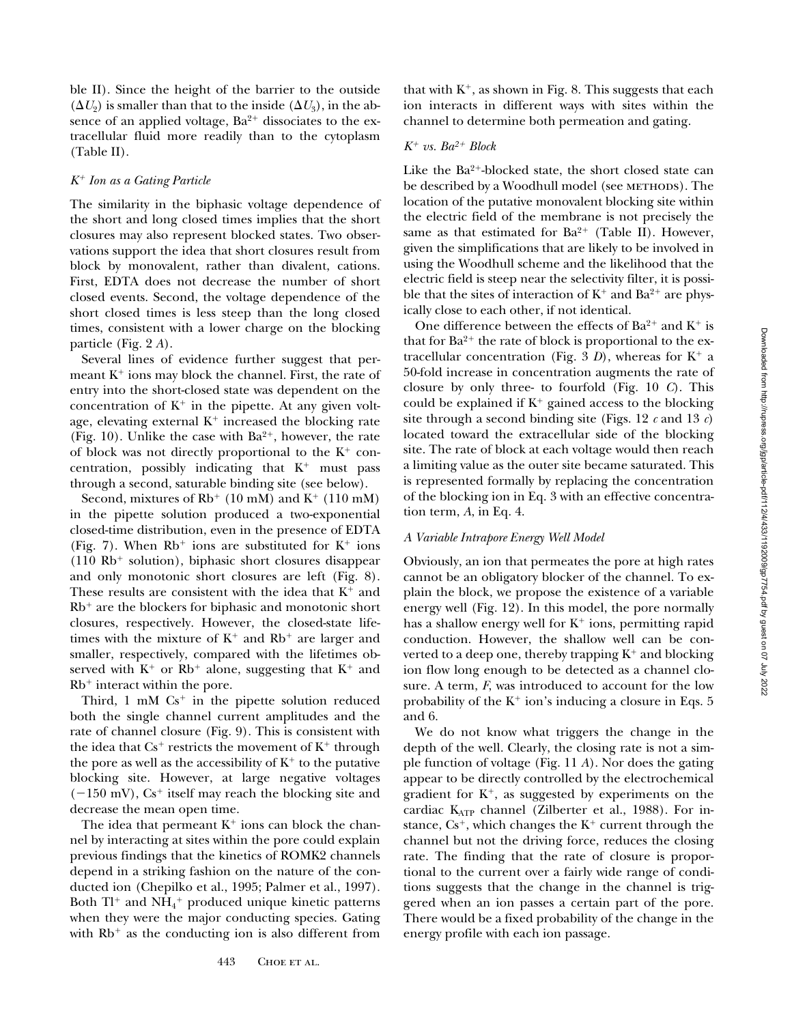ble II). Since the height of the barrier to the outside  $(\Delta U_2)$  is smaller than that to the inside  $(\Delta U_3)$ , in the absence of an applied voltage,  $Ba^{2+}$  dissociates to the extracellular fluid more readily than to the cytoplasm (Table II).

## *K*1 *Ion as a Gating Particle*

The similarity in the biphasic voltage dependence of the short and long closed times implies that the short closures may also represent blocked states. Two observations support the idea that short closures result from block by monovalent, rather than divalent, cations. First, EDTA does not decrease the number of short closed events. Second, the voltage dependence of the short closed times is less steep than the long closed times, consistent with a lower charge on the blocking particle (Fig. 2 *A*).

Several lines of evidence further suggest that permeant  $K^+$  ions may block the channel. First, the rate of entry into the short-closed state was dependent on the concentration of  $K^+$  in the pipette. At any given voltage, elevating external  $K^+$  increased the blocking rate (Fig. 10). Unlike the case with  $Ba^{2+}$ , however, the rate of block was not directly proportional to the  $K^+$  concentration, possibly indicating that  $K^+$  must pass through a second, saturable binding site (see below).

Second, mixtures of  $Rb^+$  (10 mM) and  $K^+$  (110 mM) in the pipette solution produced a two-exponential closed-time distribution, even in the presence of EDTA (Fig. 7). When  $Rb^+$  ions are substituted for  $K^+$  ions  $(110$  Rb<sup>+</sup> solution), biphasic short closures disappear and only monotonic short closures are left (Fig. 8). These results are consistent with the idea that  $K^+$  and  $Rb<sup>+</sup>$  are the blockers for biphasic and monotonic short closures, respectively. However, the closed-state lifetimes with the mixture of  $K^+$  and  $Rb^+$  are larger and smaller, respectively, compared with the lifetimes observed with  $K^+$  or Rb<sup>+</sup> alone, suggesting that  $K^+$  and  $Rb<sup>+</sup>$  interact within the pore.

Third,  $1 \text{ mM } Cs^+$  in the pipette solution reduced both the single channel current amplitudes and the rate of channel closure (Fig. 9). This is consistent with the idea that  $Cs^+$  restricts the movement of  $K^+$  through the pore as well as the accessibility of  $K^+$  to the putative blocking site. However, at large negative voltages  $(-150 \text{ mV})$ , Cs<sup>+</sup> itself may reach the blocking site and decrease the mean open time.

The idea that permeant  $K^+$  ions can block the channel by interacting at sites within the pore could explain previous findings that the kinetics of ROMK2 channels depend in a striking fashion on the nature of the conducted ion (Chepilko et al., 1995; Palmer et al., 1997). Both Tl $^+$  and NH $_4^+$  produced unique kinetic patterns when they were the major conducting species. Gating with  $Rb<sup>+</sup>$  as the conducting ion is also different from

that with  $K^+$ , as shown in Fig. 8. This suggests that each ion interacts in different ways with sites within the channel to determine both permeation and gating.

# $K^+$  vs.  $Ba^{2+}$  Block

Like the  $Ba^{2+}$ -blocked state, the short closed state can be described by a Woodhull model (see METHODS). The location of the putative monovalent blocking site within the electric field of the membrane is not precisely the same as that estimated for  $Ba^{2+}$  (Table II). However, given the simplifications that are likely to be involved in using the Woodhull scheme and the likelihood that the electric field is steep near the selectivity filter, it is possible that the sites of interaction of  $K^+$  and  $Ba^{2+}$  are physically close to each other, if not identical.

One difference between the effects of  $Ba^{2+}$  and  $K^+$  is that for  $Ba^{2+}$  the rate of block is proportional to the extracellular concentration (Fig. 3 *D*), whereas for  $K^+$  a 50-fold increase in concentration augments the rate of closure by only three- to fourfold (Fig. 10 *C*). This could be explained if  $K^+$  gained access to the blocking site through a second binding site (Figs. 12 *c* and 13 *c*) located toward the extracellular side of the blocking site. The rate of block at each voltage would then reach a limiting value as the outer site became saturated. This is represented formally by replacing the concentration of the blocking ion in Eq. 3 with an effective concentration term, *A*, in Eq. 4.

## *A Variable Intrapore Energy Well Model*

Obviously, an ion that permeates the pore at high rates cannot be an obligatory blocker of the channel. To explain the block, we propose the existence of a variable energy well (Fig. 12). In this model, the pore normally has a shallow energy well for  $K^+$  ions, permitting rapid conduction. However, the shallow well can be converted to a deep one, thereby trapping  $K^+$  and blocking ion flow long enough to be detected as a channel closure. A term, *F*, was introduced to account for the low probability of the  $K^+$  ion's inducing a closure in Eqs. 5 and 6.

We do not know what triggers the change in the depth of the well. Clearly, the closing rate is not a simple function of voltage (Fig. 11 *A*). Nor does the gating appear to be directly controlled by the electrochemical gradient for  $K^+$ , as suggested by experiments on the cardiac KATP channel (Zilberter et al., 1988). For instance,  $Cs^+$ , which changes the  $K^+$  current through the channel but not the driving force, reduces the closing rate. The finding that the rate of closure is proportional to the current over a fairly wide range of conditions suggests that the change in the channel is triggered when an ion passes a certain part of the pore. There would be a fixed probability of the change in the energy profile with each ion passage.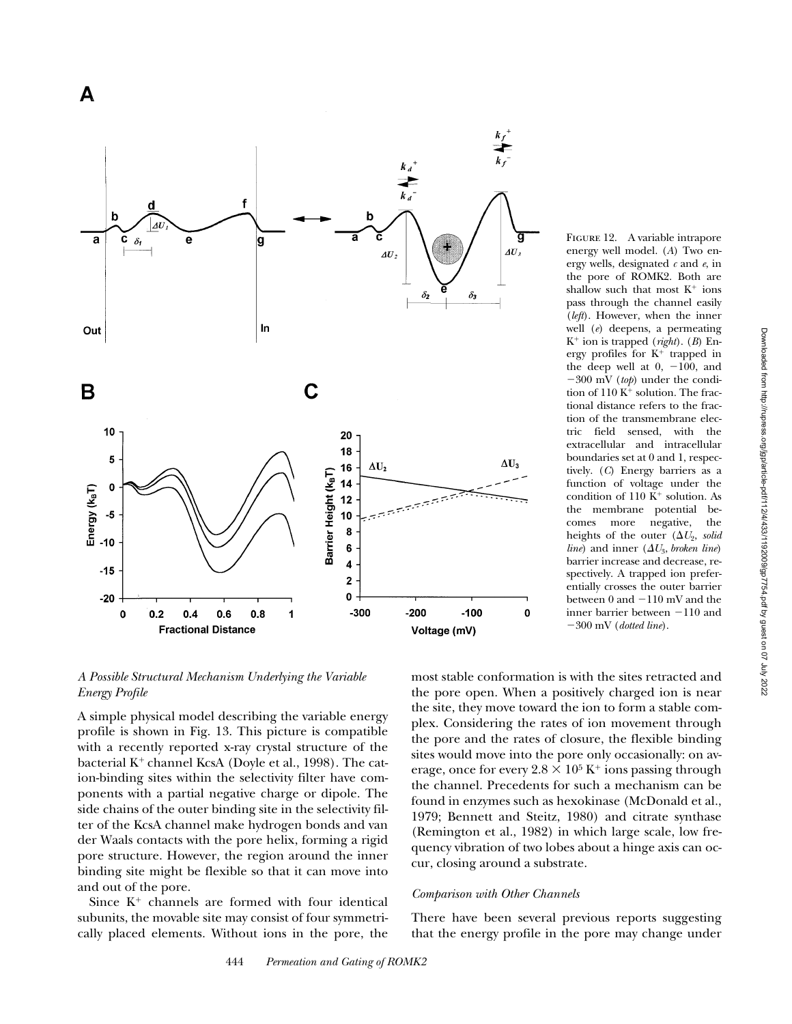

# *A Possible Structural Mechanism Underlying the Variable Energy Profile*

A simple physical model describing the variable energy profile is shown in Fig. 13. This picture is compatible with a recently reported x-ray crystal structure of the bacterial  $K^+$  channel KcsA (Doyle et al., 1998). The cation-binding sites within the selectivity filter have components with a partial negative charge or dipole. The side chains of the outer binding site in the selectivity filter of the KcsA channel make hydrogen bonds and van der Waals contacts with the pore helix, forming a rigid pore structure. However, the region around the inner binding site might be flexible so that it can move into and out of the pore.

Since  $K^+$  channels are formed with four identical subunits, the movable site may consist of four symmetrically placed elements. Without ions in the pore, the most stable conformation is with the sites retracted and tion of the transmembrane electric field sensed, with the extracellular and intracellular boundaries set at 0 and 1, respectively. (*C*) Energy barriers as a function of voltage under the condition of 110  $K^+$  solution. As the membrane potential becomes more negative, the heights of the outer  $(\Delta U_2, solid)$ *line*) and inner  $(\Delta U_3$ *, broken line*) barrier increase and decrease, respectively. A trapped ion preferentially crosses the outer barrier between  $0$  and  $-110$  mV and the inner barrier between  $-110$  and 2300 mV (*dotted line*).

FIGURE 12. A variable intrapore energy well model. (*A*) Two energy wells, designated *c* and *e*, in the pore of ROMK2. Both are shallow such that most  $K^+$  ions pass through the channel easily (*left*). However, when the inner well (*e*) deepens, a permeating K1 ion is trapped (*right*). (*B*) Energy profiles for  $K^+$  trapped in the deep well at  $0, -100$ , and 2300 mV (*top*) under the condition of  $110 K<sup>+</sup>$  solution. The fractional distance refers to the frac-

the pore open. When a positively charged ion is near the site, they move toward the ion to form a stable complex. Considering the rates of ion movement through the pore and the rates of closure, the flexible binding sites would move into the pore only occasionally: on average, once for every  $2.8 \times 10^5$  K<sup>+</sup> ions passing through the channel. Precedents for such a mechanism can be found in enzymes such as hexokinase (McDonald et al., 1979; Bennett and Steitz, 1980) and citrate synthase (Remington et al., 1982) in which large scale, low frequency vibration of two lobes about a hinge axis can occur, closing around a substrate.

# *Comparison with Other Channels*

There have been several previous reports suggesting that the energy profile in the pore may change under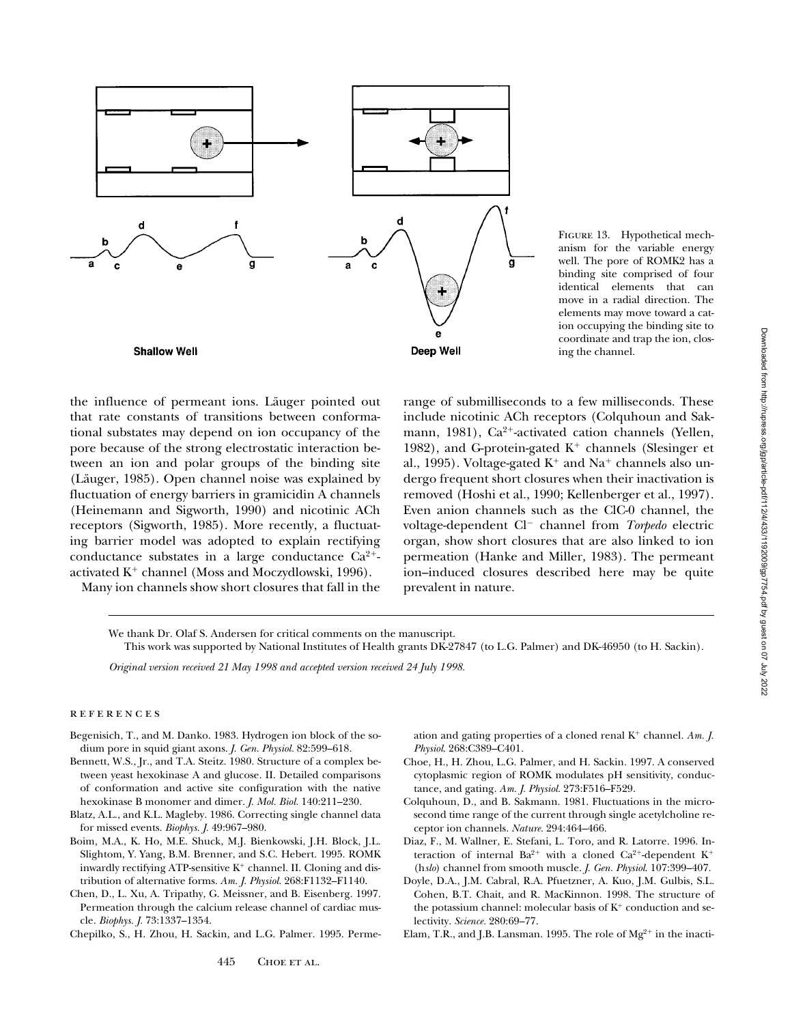

FIGURE 13. Hypothetical mechanism for the variable energy well. The pore of ROMK2 has a binding site comprised of four identical elements that can move in a radial direction. The elements may move toward a cation occupying the binding site to coordinate and trap the ion, closing the channel.

the influence of permeant ions. Läuger pointed out that rate constants of transitions between conformational substates may depend on ion occupancy of the pore because of the strong electrostatic interaction between an ion and polar groups of the binding site (Läuger, 1985). Open channel noise was explained by fluctuation of energy barriers in gramicidin A channels (Heinemann and Sigworth, 1990) and nicotinic ACh receptors (Sigworth, 1985). More recently, a fluctuating barrier model was adopted to explain rectifying conductance substates in a large conductance  $Ca^{2+}$ activated  $K^+$  channel (Moss and Moczydlowski, 1996).

Many ion channels show short closures that fall in the

range of submilliseconds to a few milliseconds. These include nicotinic ACh receptors (Colquhoun and Sakmann, 1981), Ca<sup>2+</sup>-activated cation channels (Yellen, 1982), and G-protein-gated  $K^+$  channels (Slesinger et al., 1995). Voltage-gated  $K^+$  and Na<sup>+</sup> channels also undergo frequent short closures when their inactivation is removed (Hoshi et al., 1990; Kellenberger et al., 1997). Even anion channels such as the ClC-0 channel, the voltage-dependent Cl<sup>-</sup> channel from *Torpedo* electric organ, show short closures that are also linked to ion permeation (Hanke and Miller, 1983). The permeant ion–induced closures described here may be quite prevalent in nature.

We thank Dr. Olaf S. Andersen for critical comments on the manuscript.

This work was supported by National Institutes of Health grants DK-27847 (to L.G. Palmer) and DK-46950 (to H. Sackin).

*Original version received 21 May 1998 and accepted version received 24 July 1998.* 

## **REFERENCES**

- Begenisich, T., and M. Danko. 1983. Hydrogen ion block of the sodium pore in squid giant axons. *J. Gen. Physiol.* 82:599–618.
- Bennett, W.S., Jr., and T.A. Steitz. 1980. Structure of a complex between yeast hexokinase A and glucose. II. Detailed comparisons of conformation and active site configuration with the native hexokinase B monomer and dimer. *J. Mol. Biol.* 140:211–230.
- Blatz, A.L., and K.L. Magleby. 1986. Correcting single channel data for missed events. *Biophys. J.* 49:967–980.
- Boim, M.A., K. Ho, M.E. Shuck, M.J. Bienkowski, J.H. Block, J.L. Slightom, Y. Yang, B.M. Brenner, and S.C. Hebert. 1995. ROMK inwardly rectifying ATP-sensitive  $K^+$  channel. II. Cloning and distribution of alternative forms. *Am. J. Physiol.* 268:F1132–F1140.
- Chen, D., L. Xu, A. Tripathy, G. Meissner, and B. Eisenberg. 1997. Permeation through the calcium release channel of cardiac muscle. *Biophys. J.* 73:1337–1354.
- Chepilko, S., H. Zhou, H. Sackin, and L.G. Palmer. 1995. Perme-

ation and gating properties of a cloned renal  $K^+$  channel. Am.  $J$ . *Physiol*. 268:C389–C401.

- Choe, H., H. Zhou, L.G. Palmer, and H. Sackin. 1997. A conserved cytoplasmic region of ROMK modulates pH sensitivity, conductance, and gating. *Am. J. Physiol.* 273:F516–F529.
- Colquhoun, D., and B. Sakmann. 1981. Fluctuations in the microsecond time range of the current through single acetylcholine receptor ion channels. *Nature.* 294:464–466.
- Diaz, F., M. Wallner, E. Stefani, L. Toro, and R. Latorre. 1996. Interaction of internal  $Ba^{2+}$  with a cloned  $Ca^{2+}$ -dependent  $K^+$ (h*slo*) channel from smooth muscle. *J. Gen. Physiol*. 107:399–407.
- Doyle, D.A., J.M. Cabral, R.A. Pfuetzner, A. Kuo, J.M. Gulbis, S.L. Cohen, B.T. Chait, and R. MacKinnon. 1998. The structure of the potassium channel: molecular basis of  $K^+$  conduction and selectivity. *Science.* 280:69–77.
- Elam, T.R., and J.B. Lansman. 1995. The role of  $Mg^{2+}$  in the inacti-